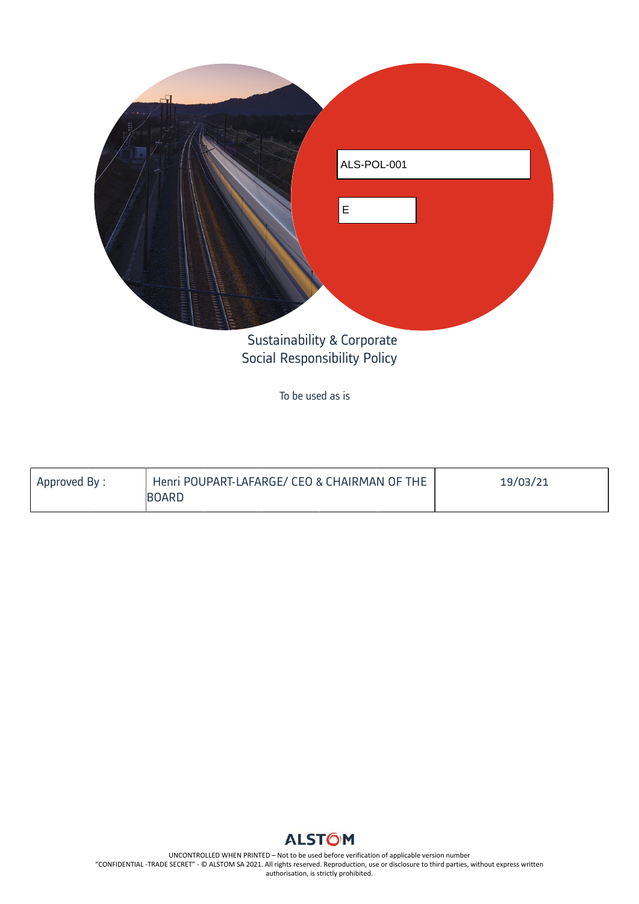

To be used as is

| Approved By: | Henri POUPART-LAFARGE/ CEO & CHAIRMAN OF THE | 19/03/21 |
|--------------|----------------------------------------------|----------|
|              | <b>BOARD</b>                                 |          |